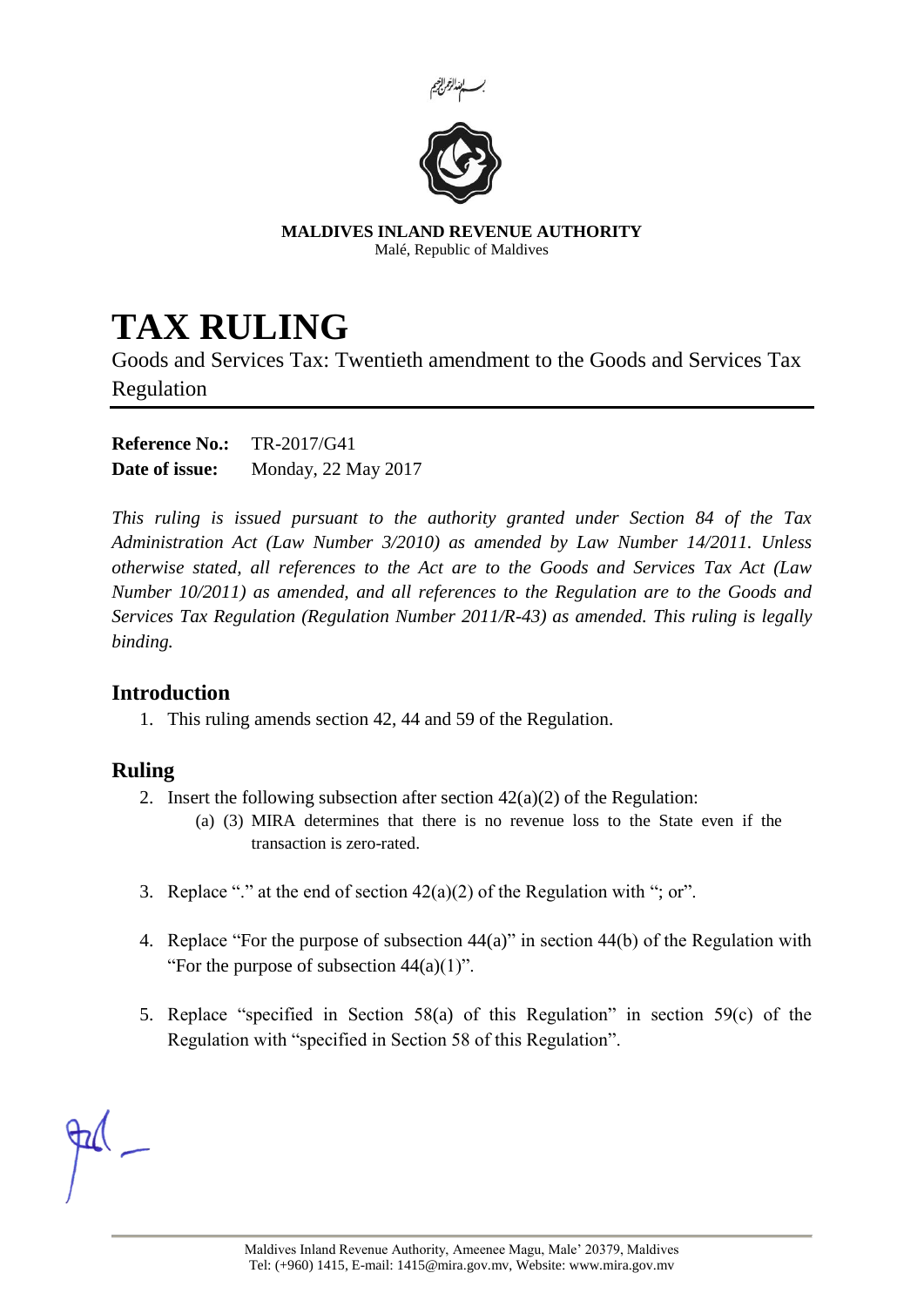



**MALDIVES INLAND REVENUE AUTHORITY** Malé, Republic of Maldives

## **TAX RULING**

Goods and Services Tax: Twentieth amendment to the Goods and Services Tax Regulation

**Reference No.:** TR-2017/G41 **Date of issue:** Monday, 22 May 2017

*This ruling is issued pursuant to the authority granted under Section 84 of the Tax Administration Act (Law Number 3/2010) as amended by Law Number 14/2011. Unless otherwise stated, all references to the Act are to the Goods and Services Tax Act (Law Number 10/2011) as amended, and all references to the Regulation are to the Goods and Services Tax Regulation (Regulation Number 2011/R-43) as amended. This ruling is legally binding.*

## **Introduction**

1. This ruling amends section 42, 44 and 59 of the Regulation.

## **Ruling**

- 2. Insert the following subsection after section  $42(a)(2)$  of the Regulation:
	- (a) (3) MIRA determines that there is no revenue loss to the State even if the transaction is zero-rated.
- 3. Replace "." at the end of section 42(a)(2) of the Regulation with "; or".
- 4. Replace "For the purpose of subsection 44(a)" in section 44(b) of the Regulation with "For the purpose of subsection  $44(a)(1)$ ".
- 5. Replace "specified in Section 58(a) of this Regulation" in section 59(c) of the Regulation with "specified in Section 58 of this Regulation".